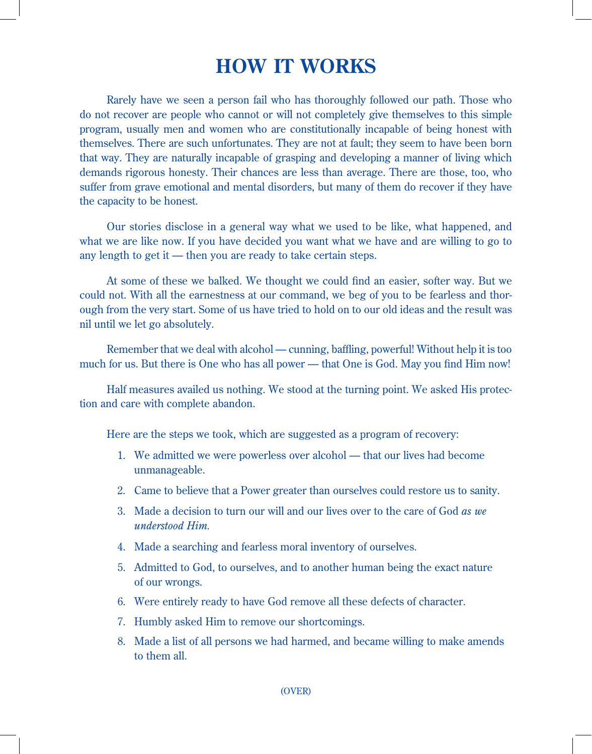## **HOW IT WORKS**

Rarely have we seen a person fail who has thoroughly followed our path. Those who do not recover are people who cannot or will not completely give themselves to this simple program, usually men and women who are constitutionally incapable of being honest with themselves. There are such unfortunates. They are not at fault; they seem to have been born that way. They are naturally incapable of grasping and developing a manner of living which demands rigorous honesty. Their chances are less than average. There are those, too, who suffer from grave emotional and mental disorders, but many of them do recover if they have the capacity to be honest.

Our stories disclose in a general way what we used to be like, what happened, and what we are like now. If you have decided you want what we have and are willing to go to any length to get it — then you are ready to take certain steps.

At some of these we balked. We thought we could find an easier, softer way. But we could not. With all the earnestness at our command, we beg of you to be fearless and thorough from the very start. Some of us have tried to hold on to our old ideas and the result was nil until we let go absolutely.

Remember that we deal with alcohol — cunning, baffling, powerful! Without help it is too much for us. But there is One who has all power — that One is God. May you find Him now!

Half measures availed us nothing. We stood at the turning point. We asked His protection and care with complete abandon.

Here are the steps we took, which are suggested as a program of recovery:

- 1. We admitted we were powerless over alcohol that our lives had become unmanageable.
- 2. Came to believe that a Power greater than ourselves could restore us to sanity.
- 3. Made a decision to turn our will and our lives over to the care of God *as we understood Him.*
- 4. Made a searching and fearless moral inventory of ourselves.
- 5. Admitted to God, to ourselves, and to another human being the exact nature of our wrongs.
- 6. Were entirely ready to have God remove all these defects of character.
- 7. Humbly asked Him to remove our shortcomings.
- 8. Made a list of all persons we had harmed, and became willing to make amends to them all.